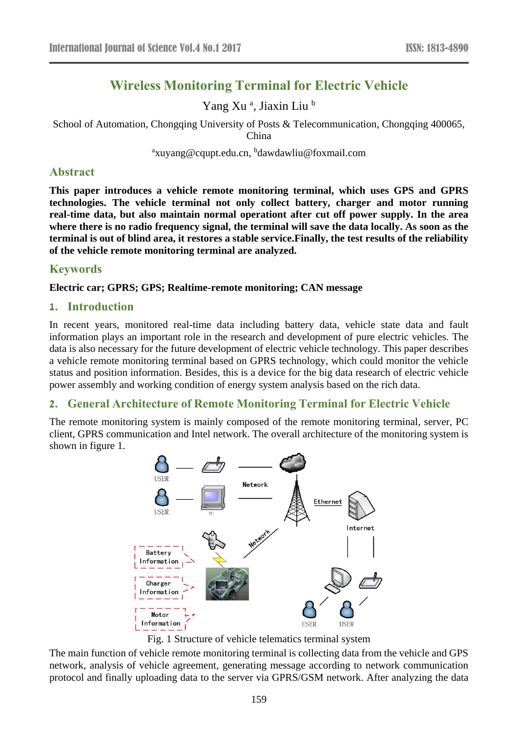# **Wireless Monitoring Terminal for Electric Vehicle**

Yang Xu<sup>a</sup>, Jiaxin Liu<sup>b</sup>

School of Automation, Chongqing University of Posts & Telecommunication, Chongqing 400065,

China

<sup>a</sup>xuyang@cqupt.edu.cn, <sup>b</sup>dawdawliu@foxmail.com

### **Abstract**

**This paper introduces a vehicle remote monitoring terminal, which uses GPS and GPRS technologies. The vehicle terminal not only collect battery, charger and motor running real-time data, but also maintain normal operationt after cut off power supply. In the area where there is no radio frequency signal, the terminal will save the data locally. As soon as the terminal is out of blind area, it restores a stable service.Finally, the test results of the reliability of the vehicle remote monitoring terminal are analyzed.**

# **Keywords**

### **Electric car; GPRS; GPS; Realtime-remote monitoring; CAN message**

### **1. Introduction**

In recent years, monitored real-time data including battery data, vehicle state data and fault information plays an important role in the research and development of pure electric vehicles. The data is also necessary for the future development of electric vehicle technology. This paper describes a vehicle remote monitoring terminal based on GPRS technology, which could monitor the vehicle status and position information. Besides, this is a device for the big data research of electric vehicle power assembly and working condition of energy system analysis based on the rich data.

### **2. General Architecture of Remote Monitoring Terminal for Electric Vehicle**

The remote monitoring system is mainly composed of the remote monitoring terminal, server, PC client, GPRS communication and Intel network. The overall architecture of the monitoring system is shown in figure 1.



Fig. 1 Structure of vehicle telematics terminal system

The main function of vehicle remote monitoring terminal is collecting data from the vehicle and GPS network, analysis of vehicle agreement, generating message according to network communication protocol and finally uploading data to the server via GPRS/GSM network. After analyzing the data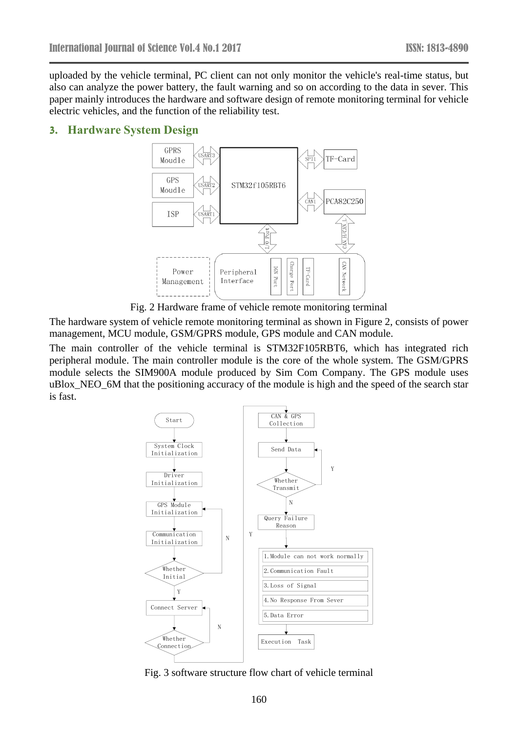uploaded by the vehicle terminal, PC client can not only monitor the vehicle's real-time status, but also can analyze the power battery, the fault warning and so on according to the data in sever. This paper mainly introduces the hardware and software design of remote monitoring terminal for vehicle electric vehicles, and the function of the reliability test.

#### **3. Hardware System Design**



Fig. 2 Hardware frame of vehicle remote monitoring terminal

The hardware system of vehicle remote monitoring terminal as shown in Figure 2, consists of power management, MCU module, GSM/GPRS module, GPS module and CAN module.

The main controller of the vehicle terminal is STM32F105RBT6, which has integrated rich peripheral module. The main controller module is the core of the whole system. The GSM/GPRS module selects the SIM900A module produced by Sim Com Company. The GPS module uses uBlox\_NEO\_6M that the positioning accuracy of the module is high and the speed of the search star is fast.



Fig. 3 software structure flow chart of vehicle terminal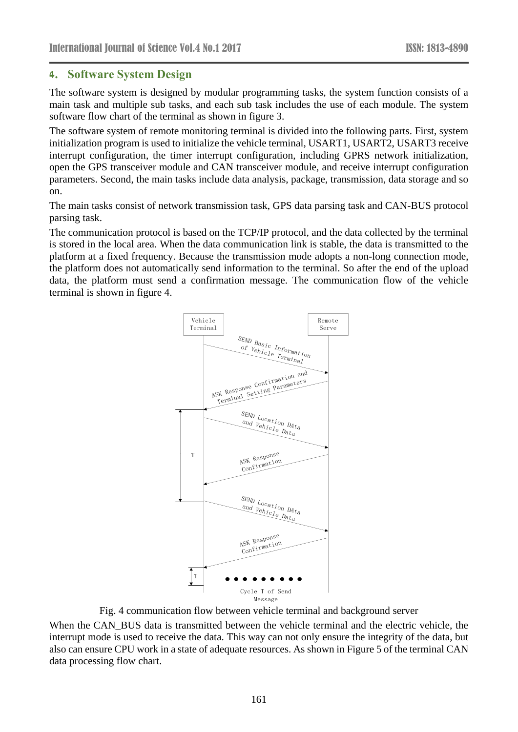### **4. Software System Design**

The software system is designed by modular programming tasks, the system function consists of a main task and multiple sub tasks, and each sub task includes the use of each module. The system software flow chart of the terminal as shown in figure 3.

The software system of remote monitoring terminal is divided into the following parts. First, system initialization program is used to initialize the vehicle terminal, USART1, USART2, USART3 receive interrupt configuration, the timer interrupt configuration, including GPRS network initialization, open the GPS transceiver module and CAN transceiver module, and receive interrupt configuration parameters. Second, the main tasks include data analysis, package, transmission, data storage and so on.

The main tasks consist of network transmission task, GPS data parsing task and CAN-BUS protocol parsing task.

The communication protocol is based on the TCP/IP protocol, and the data collected by the terminal is stored in the local area. When the data communication link is stable, the data is transmitted to the platform at a fixed frequency. Because the transmission mode adopts a non-long connection mode, the platform does not automatically send information to the terminal. So after the end of the upload data, the platform must send a confirmation message. The communication flow of the vehicle terminal is shown in figure 4.



Fig. 4 communication flow between vehicle terminal and background server

When the CAN BUS data is transmitted between the vehicle terminal and the electric vehicle, the interrupt mode is used to receive the data. This way can not only ensure the integrity of the data, but also can ensure CPU work in a state of adequate resources. As shown in Figure 5 of the terminal CAN data processing flow chart.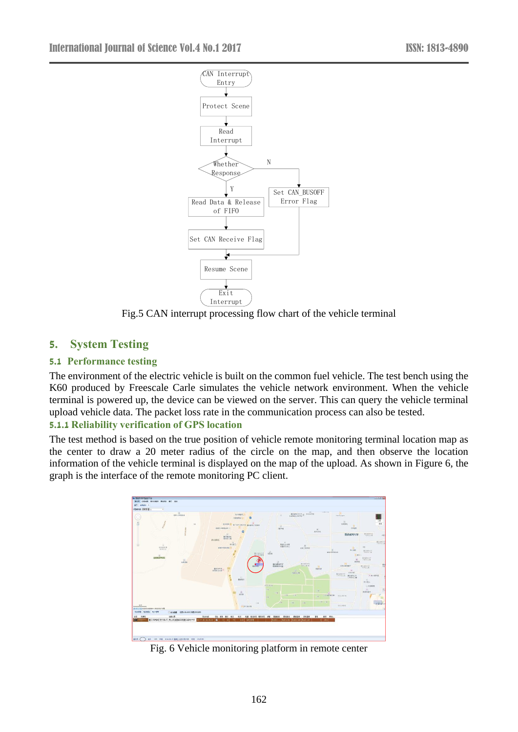

Fig.5 CAN interrupt processing flow chart of the vehicle terminal

# **5. System Testing**

### **5.1 Performance testing**

The environment of the electric vehicle is built on the common fuel vehicle. The test bench using the K60 produced by Freescale Carle simulates the vehicle network environment. When the vehicle terminal is powered up, the device can be viewed on the server. This can query the vehicle terminal upload vehicle data. The packet loss rate in the communication process can also be tested.

### **5.1.1 Reliability verification of GPS location**

The test method is based on the true position of vehicle remote monitoring terminal location map as the center to draw a 20 meter radius of the circle on the map, and then observe the location information of the vehicle terminal is displayed on the map of the upload. As shown in Figure 6, the graph is the interface of the remote monitoring PC client.



Fig. 6 Vehicle monitoring platform in remote center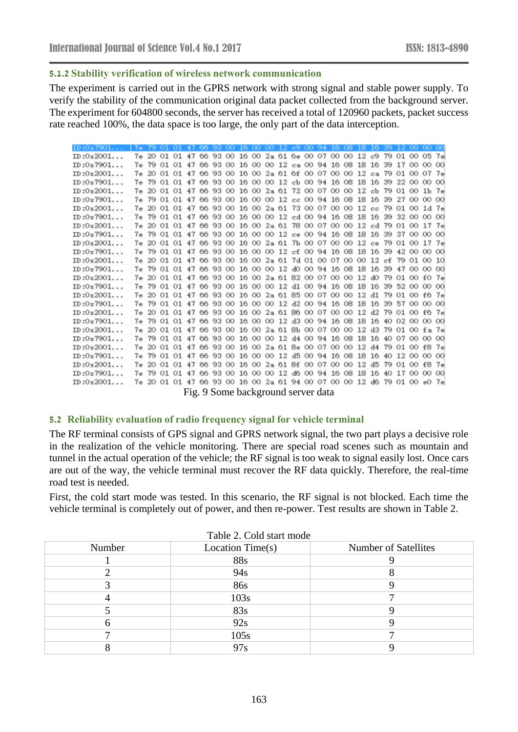#### **5.1.2 Stability verification of wireless network communication**

The experiment is carried out in the GPRS network with strong signal and stable power supply. To verify the stability of the communication original data packet collected from the background server. The experiment for 604800 seconds, the server has received a total of 120960 packets, packet success rate reached 100%, the data space is too large, the only part of the data interception.

| ID:0x7901 | 7e 79 01 01 47 66 93 00 16 00 00 12 c9 00 94 16 08 18 16 39 12 00 00 00 |       |                                                                         |  |  |  |  |  |  |    |                |          |    |                  |    |
|-----------|-------------------------------------------------------------------------|-------|-------------------------------------------------------------------------|--|--|--|--|--|--|----|----------------|----------|----|------------------|----|
| ID:0x2001 |                                                                         |       | 7e 20 01 01 47 66 93 00 16 00 2a 61 6e 00 07 00 00 12 c9 79 01 00 05 7e |  |  |  |  |  |  |    |                |          |    |                  |    |
| ID:0x7901 |                                                                         |       | 7e 79 01 01 47 66 93 00 16 00 00 12 ca 00 94 16 08 18 16 39 17 00       |  |  |  |  |  |  |    |                |          |    | 0000             |    |
| ID:0x2001 |                                                                         |       | 7e 20 01 01 47 66 93 00 16 00 2a 61 6f 00 07 00 00 12 ca 79 01 00       |  |  |  |  |  |  |    |                |          |    | 07 7e            |    |
| ID:0x7901 |                                                                         |       | 7e 79 01 01 47 66 93 00 16 00 00 12 cb 00 94 16 08 18 16 39 22 00       |  |  |  |  |  |  |    |                |          |    | 00 00            |    |
| ID:0x2001 |                                                                         |       | 7e 20 01 01 47 66 93 00 16 00 2a 61 72 00 07 00 00 12 cb 79 01 00       |  |  |  |  |  |  |    |                |          |    | $1b$ 7 $e$       |    |
| ID:0x7901 |                                                                         |       | 7e 79 01 01 47 66 93 00 16 00 00 12 cc 00 94 16 08 18 16 39 27 00       |  |  |  |  |  |  |    |                |          |    | 00 00            |    |
| ID:0x2001 |                                                                         |       | 7e 20 01 01 47 66 93 00 16 00 2a 61 73 00 07 00 00 12 cc 79 01 00       |  |  |  |  |  |  |    |                |          |    | $1d$ $7e$        |    |
| ID:0x7901 |                                                                         |       | 7e 79 01 01 47 66 93 00 16 00 00 12 cd 00 94 16 08 18 16 39 32 00       |  |  |  |  |  |  |    |                |          |    | 00 00            |    |
| ID:0x2001 |                                                                         |       | 7e 20 01 01 47 66 93 00 16 00 2a 61 78 00 07 00 00 12 cd 79 01 00       |  |  |  |  |  |  |    |                |          |    | 17 <sub>7e</sub> |    |
| ID:0x7901 |                                                                         |       | 7e 79 01 01 47 66 93 00 16 00 00 12 ce 00 94 16 08 18 16 39 37 00       |  |  |  |  |  |  |    |                |          |    | 00 00            |    |
| ID:0x2001 |                                                                         |       | 7e 20 01 01 47 66 93 00 16 00 2a 61 7b 00 07 00 00 12 ce 79 01 00       |  |  |  |  |  |  |    |                |          |    | 17               | 7e |
| ID:0x7901 |                                                                         |       | 7e 79 01 01 47 66 93 00 16 00 00 12 cf 00 94 16 08 18 16 39 42 00       |  |  |  |  |  |  |    |                |          |    | 00 00            |    |
| ID:0x2001 |                                                                         | 7e 20 | 01 01 47 66 93 00 16 00 2a 61 7d 01 00 07 00 00 12 cf 79 01             |  |  |  |  |  |  |    |                |          |    | 0010             |    |
| ID:0x7901 |                                                                         |       | 7e 79 01 01 47 66 93 00 16 00 00 12 d0 00 94 16 08 18 16 39 47 00       |  |  |  |  |  |  |    |                |          |    | 00 00            |    |
| ID:0x2001 |                                                                         |       | 7e 20 01 01 47 66 93 00 16 00 2a 61 82 00 07 00 00 12 d0 79 01 00       |  |  |  |  |  |  |    |                |          |    | $f0$ $7e$        |    |
| ID:0x7901 |                                                                         |       | 7e 79 01 01 47 66 93 00 16 00 00 12 d1 00 94 16 08 18 16 39 52 00       |  |  |  |  |  |  |    |                |          |    | 00 00            |    |
| ID:0x2001 |                                                                         |       | 7e 20 01 01 47 66 93 00 16 00 2a 61 85 00 07 00 00 12 d1 79 01 00       |  |  |  |  |  |  |    |                |          |    | f6 7e            |    |
| ID:0x7901 |                                                                         |       | 7e 79 01 01 47 66 93 00 16 00 00 12 d2 00 94 16 08 18 16 39 57 00       |  |  |  |  |  |  |    |                |          |    | 00 00            |    |
| ID:0x2001 |                                                                         |       | 7e 20 01 01 47 66 93 00 16 00 2a 61 86 00 07 00 00 12 d2 79 01 00       |  |  |  |  |  |  |    |                |          |    | $f6$ $7e$        |    |
| ID:0x7901 |                                                                         |       | 7e 79 01 01 47 66 93 00 16 00 00 12 d3 00 94 16 08 18 16 40 02 00       |  |  |  |  |  |  |    |                |          |    | 00 00            |    |
| ID:0x2001 |                                                                         |       | 7e 20 01 01 47 66 93 00 16 00 2a 61 8b 00 07 00 00 12 d3 79 01 00       |  |  |  |  |  |  |    |                |          |    | fa 7e            |    |
| ID:0x7901 |                                                                         |       | 7e 79 01 01 47 66 93 00 16 00 00 12 d4 00 94 16 08 18 16 40 07 00       |  |  |  |  |  |  |    |                |          |    | 0000             |    |
| ID:0x2001 |                                                                         | 7e 20 | 01 01 47 66 93 00 16 00 2a 61 8e 00 07 00 00                            |  |  |  |  |  |  |    | 12 d4 79 01 00 |          |    | f87e             |    |
| ID:0x7901 |                                                                         |       | 7e 79 01 01 47 66 93 00 16 00 00 12 d5 00 94 16 08 18 16 40 12 00       |  |  |  |  |  |  |    |                |          |    | 00 00            |    |
| ID:0x2001 |                                                                         |       | 7e 20 01 01 47 66 93 00 16 00 2a 61 8f 00 07 00 00 12 d5                |  |  |  |  |  |  |    |                | 79 01 00 |    | f87e             |    |
| ID:0x7901 |                                                                         |       | 7e 79 01 01 47 66 93 00 16 00 00 12 d6 00 94 16 08                      |  |  |  |  |  |  | 18 | 16             | 40 17    | 00 | 00 00            |    |
| ID:0x2001 |                                                                         |       | 7e 20 01 01 47 66 93 00 16 00 2a 61 94 00 07 00 00 12 d6 79 01 00       |  |  |  |  |  |  |    |                |          |    | $e0$ $7e$        |    |
|           |                                                                         |       |                                                                         |  |  |  |  |  |  |    |                |          |    |                  |    |

Fig. 9 Some background server data

#### **5.2 Reliability evaluation of radio frequency signal for vehicle terminal**

The RF terminal consists of GPS signal and GPRS network signal, the two part plays a decisive role in the realization of the vehicle monitoring. There are special road scenes such as mountain and tunnel in the actual operation of the vehicle; the RF signal is too weak to signal easily lost. Once cars are out of the way, the vehicle terminal must recover the RF data quickly. Therefore, the real-time road test is needed.

First, the cold start mode was tested. In this scenario, the RF signal is not blocked. Each time the vehicle terminal is completely out of power, and then re-power. Test results are shown in Table 2.

| Number | Location Time $(s)$ | <b>Number of Satellites</b> |
|--------|---------------------|-----------------------------|
|        | <b>88s</b>          |                             |
|        | 94s                 |                             |
|        | 86s                 |                             |
|        | 103s                |                             |
|        | 83s                 |                             |
|        | 92s                 |                             |
|        | 105s                |                             |
|        | 97s                 |                             |